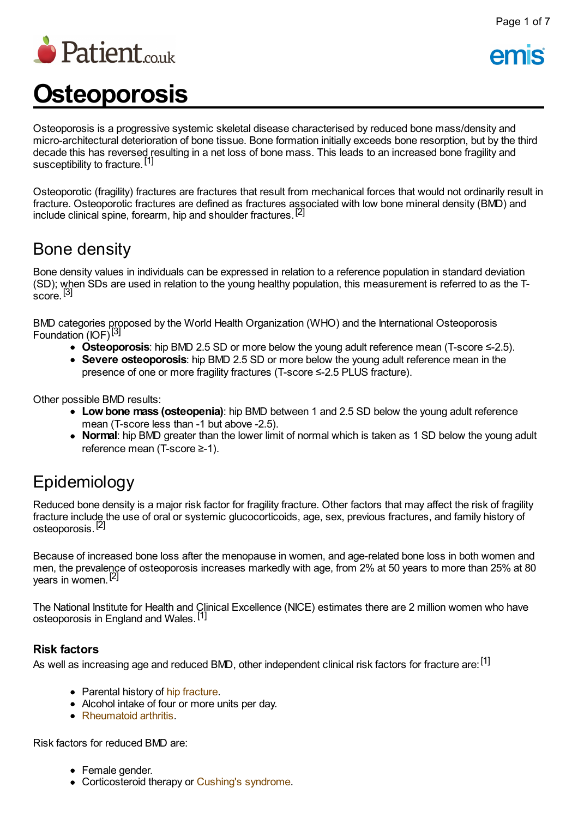

Page 1 of 7

# **Osteoporosis**

Osteoporosis is a progressive systemic skeletal disease characterised by reduced bone mass/density and micro-architectural deterioration of bone tissue. Bone formation initially exceeds bone resorption, but by the third decade this has reversed resulting in a net loss of bone mass. This leads to an increased bone fragility and susceptibility to fracture.<sup>[1]</sup>

Osteoporotic (fragility) fractures are fractures that result from mechanical forces that would not ordinarily result in fracture. Osteoporotic fractures are defined as fractures associated with low bone mineral density (BMD) and include clinical spine, forearm, hip and shoulder fractures.<sup>[2]</sup>

## Bone density

Bone density values in individuals can be expressed in relation to a reference population in standard deviation (SD); when SDs are used in relation to the young healthy population, this measurement is referred to as the T- $\frac{(-1)^{1}}{2}$ 

BMD categories proposed by the World Health Organization (WHO) and the International Osteoporosis Foundation (IOF)<sup>[3]</sup>

- **Osteoporosis**: hip BMD 2.5 SD or more below the young adult reference mean (T-score ≤-2.5).
- **Severe osteoporosis**: hip BMD 2.5 SD or more below the young adult reference mean in the presence of one or more fragility fractures (T-score ≤-2.5 PLUS fracture).

Other possible BMD results:

- **Lowbone mass (osteopenia)**: hip BMD between 1 and 2.5 SD below the young adult reference mean (T-score less than -1 but above -2.5).
- **Normal**: hip BMD greater than the lower limit of normal which is taken as 1 SD below the young adult reference mean (T-score ≥-1).

# Epidemiology

Reduced bone density is a major risk factor for fragility fracture. Other factors that may affect the risk of fragility fracture include the use of oral or systemic glucocorticoids, age, sex, previous fractures, and family history of osteoporosis.<sup>[2]</sup>

Because of increased bone loss after the menopause in women, and age-related bone loss in both women and men, the prevalence of osteoporosis increases markedly with age, from 2% at 50 years to more than 25% at 80 years in women.<sup>[2]</sup>

The National Institute for Health and Clinical Excellence (NICE) estimates there are 2 million women who have osteoporosis in England and Wales.<sup>[1]</sup>

#### **Risk factors**

As well as increasing age and reduced BMD, other independent clinical risk factors for fracture are:  $^{[1]}$ 

- Parental history of hip [fracture](http://www.patient.co.uk/search.asp?searchterm=HIP+FRACTURE&collections=PPsearch).
- Alcohol intake of four or more units per day.
- [Rheumatoid](http://www.patient.co.uk/search.asp?searchterm=RHEUMATOID+ARTHRITIS&collections=PPsearch) arthritis.

Risk factors for reduced BMD are:

- Female gender.
- Corticosteroid therapy or Cushing's [syndrome](http://www.patient.co.uk/search.asp?searchterm=CUSHING+S+SYNDROME&collections=PPsearch).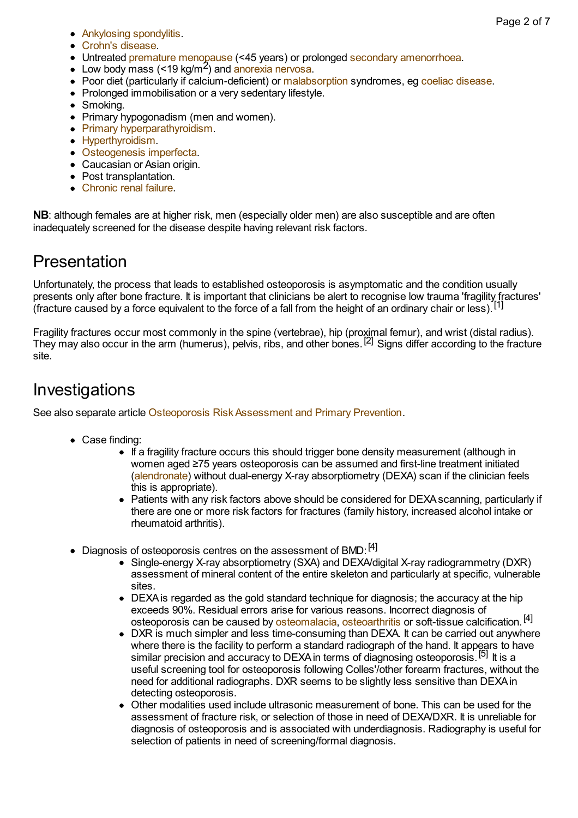- [Ankylosing](http://www.patient.co.uk/search.asp?searchterm=ANKYLOSING+SPONDYLITIS&collections=PPsearch) spondylitis.
- Crohn's [disease.](http://www.patient.co.uk/search.asp?searchterm=CROHN+S+DISEASE&collections=PPsearch)
- Untreated premature [menopause](http://www.patient.co.uk/search.asp?searchterm=PREMATURE+MENOPAUSE&collections=PPsearch) (<45 years) or prolonged secondary [amenorrhoea.](http://www.patient.co.uk/search.asp?searchterm=SECONDARY+AMENORRHOEA&collections=PPsearch)
- Low body mass (<19 kg/m2 ) and [anorexia](http://www.patient.co.uk/search.asp?searchterm=ANOREXIA+NERVOSA&collections=PPsearch) nervosa.
- Poor diet (particularly if calcium-deficient) or [malabsorption](http://www.patient.co.uk/search.asp?searchterm=GASTROINTESTINAL+MALABSORPTION&collections=PPsearch) syndromes, eg coeliac [disease](http://www.patient.co.uk/search.asp?searchterm=COELIAC+DISEASE&collections=PPsearch).
- Prolonged immobilisation or a very sedentary lifestyle.
- Smoking.
- Primary hypogonadism (men and women).
- Primary [hyperparathyroidism](http://www.patient.co.uk/search.asp?searchterm=PRIMARY+HYPERPARATHYROIDISM&collections=PPsearch).
- [Hyperthyroidism](http://www.patient.co.uk/search.asp?searchterm=HYPERTHYROIDISM&collections=PPsearch).
- [Osteogenesis](http://www.patient.co.uk/doctor/osteogenesis-imperfecta) imperfecta.
- Caucasian or Asian origin.
- Post transplantation.
- [Chronic](http://www.patient.co.uk/search.asp?searchterm=CHRONIC+RENAL+FAILURE&collections=PPsearch) renal failure.

**NB**: although females are at higher risk, men (especially older men) are also susceptible and are often inadequately screened for the disease despite having relevant risk factors.

# Presentation

Unfortunately, the process that leads to established osteoporosis is asymptomatic and the condition usually presents only after bone fracture. It is important that clinicians be alert to recognise low trauma 'fragility fractures' processive only after some master of it is important that emmetally be discrete rooteging for indicating maging  $[f]$  (figracture caused by a force equivalent to the force of a fall from the height of an ordinary chair or l

Fragility fractures occur most commonly in the spine (vertebrae), hip (proximal femur), and wrist (distal radius). They may also occur in the arm (humerus), pelvis, ribs, and other bones.<sup>[2]</sup> Signs differ according to the fracture site.

### **Investigations**

See also separate article Osteoporosis [RiskAssessment](http://www.patient.co.uk/doctor/osteoporosis-risk-assessment-and-primary-prevention) and Primary Prevention.

- Case finding:
	- If a fragility fracture occurs this should trigger bone density measurement (although in women aged ≥75 years osteoporosis can be assumed and first-line treatment initiated [\(alendronate](http://www.patient.co.uk/search.asp?searchterm=ALENDRONATE&collections=PPsearch)) without dual-energy X-ray absorptiometry (DEXA) scan if the clinician feels this is appropriate).
	- Patients with any risk factors above should be considered for DEXA scanning, particularly if there are one or more risk factors for fractures (family history, increased alcohol intake or rheumatoid arthritis).
- Diagnosis of osteoporosis centres on the assessment of BMD: [4]
	- Single-energy X-ray absorptiometry (SXA) and DEXA/digital X-ray radiogrammetry (DXR) assessment of mineral content of the entire skeleton and particularly at specific, vulnerable sites.
	- DEXAis regarded as the gold standard technique for diagnosis; the accuracy at the hip exceeds 90%. Residual errors arise for various reasons. Incorrect diagnosis of osteoporosis can be caused by [osteomalacia,](http://www.patient.co.uk/search.asp?searchterm=OSTEOMALACIA&collections=PPsearch) [osteoarthritis](http://www.patient.co.uk/search.asp?searchterm=OSTEOARTHRITIS&collections=PPsearch) or soft-tissue calcification.<sup>[4]</sup>
	- DXR is much simpler and less time-consuming than DEXA. It can be carried out anywhere where there is the facility to perform a standard radiograph of the hand. It appears to have similar precision and accuracy to DEXA in terms of diagnosing osteoporosis.<sup>[5]</sup> It is a useful screening tool for osteoporosis following Colles'/other forearm fractures, without the need for additional radiographs. DXR seems to be slightly less sensitive than DEXAin detecting osteoporosis.
	- Other modalities used include ultrasonic measurement of bone. This can be used for the assessment of fracture risk, or selection of those in need of DEXA/DXR. It is unreliable for diagnosis of osteoporosis and is associated with underdiagnosis. Radiography is useful for selection of patients in need of screening/formal diagnosis.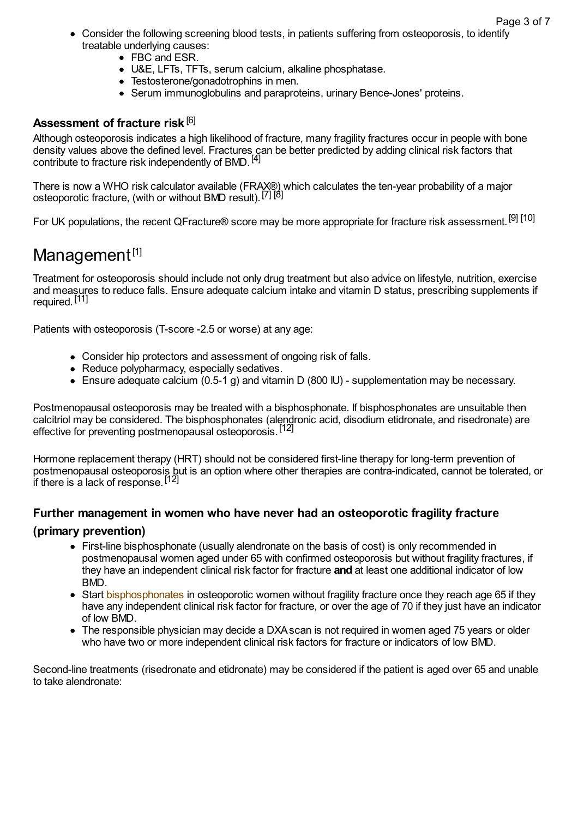- Consider the following screening blood tests, in patients suffering from osteoporosis, to identify treatable underlying causes:
	- FBC and ESR.
	- U&E, LFTs, TFTs, serum calcium, alkaline phosphatase.
	- Testosterone/gonadotrophins in men.
	- Serum immunoglobulins and paraproteins, urinary Bence-Jones' proteins.

#### **Assessment of fracture risk** [6]

Although osteoporosis indicates a high likelihood of fracture, many fragility fractures occur in people with bone density values above the defined level. Fractures can be better predicted by adding clinical risk factors that contribute to fracture risk independently of BMD.<sup>[4]</sup>

There is now a WHO risk calculator available (FRAX®) which calculates the ten-year probability of a major osteoporotic fracture, (with or without BMD result).<sup>[7] [8]</sup>

For UK populations, the recent QFracture® score may be more appropriate for fracture risk assessment.<sup>[9]</sup> [10]

## Management<sup>[1]</sup>

Treatment for osteoporosis should include not only drug treatment but also advice on lifestyle, nutrition, exercise and measures to reduce falls. Ensure adequate calcium intake and vitamin D status, prescribing supplements if required.<sup>[11]</sup>

Patients with osteoporosis (T-score -2.5 or worse) at any age:

- Consider hip protectors and assessment of ongoing risk of falls.
- Reduce polypharmacy, especially sedatives.
- Ensure adequate calcium (0.5-1 g) and vitamin D (800 IU) supplementation may be necessary.

Postmenopausal osteoporosis may be treated with a bisphosphonate. If bisphosphonates are unsuitable then calcitriol may be considered. The bisphosphonates (alendronic acid, disodium etidronate, and risedronate) are effective for preventing postmenopausal osteoporosis.<sup>[12]</sup>

Hormone replacement therapy (HRT) should not be considered first-line therapy for long-term prevention of postmenopausal osteoporosis but is an option where other therapies are contra-indicated, cannot be tolerated, or if there is a lack of response.<sup>[12]</sup>

#### **Further management in women who have never had an osteoporotic fragility fracture**

#### **(primary prevention)**

- First-line bisphosphonate (usually alendronate on the basis of cost) is only recommended in postmenopausal women aged under 65 with confirmed osteoporosis but without fragility fractures, if they have an independent clinical risk factor for fracture **and** at least one additional indicator of low BMD.
- Start [bisphosphonates](http://www.patient.co.uk/search.asp?searchterm=BISPHOSPHONATES&collections=PPsearch) in osteoporotic women without fragility fracture once they reach age 65 if they have any independent clinical risk factor for fracture, or over the age of 70 if they just have an indicator of low BMD.
- The responsible physician may decide a DXA scan is not required in women aged 75 years or older who have two or more independent clinical risk factors for fracture or indicators of low BMD.

Second-line treatments (risedronate and etidronate) may be considered if the patient is aged over 65 and unable to take alendronate: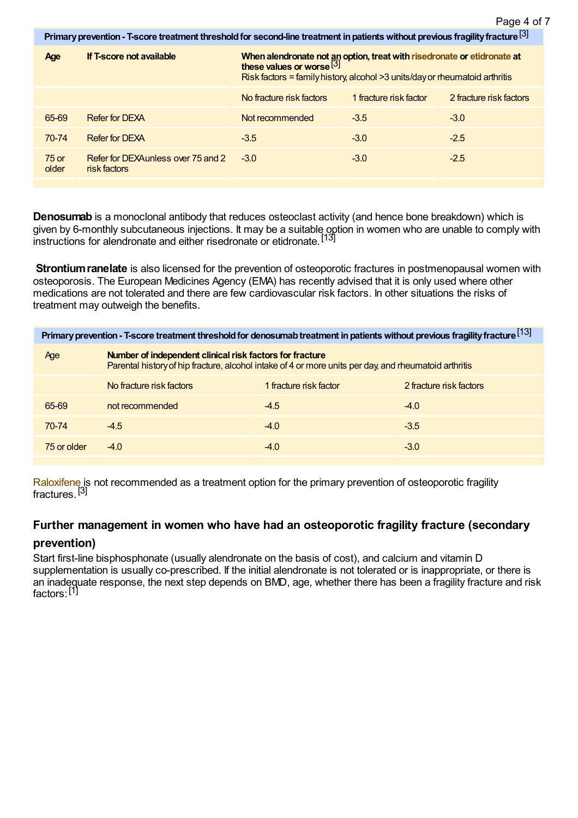$523$ Page 4 of 7

| Primary prevention - T-score treatment threshold for second-line treatment in patients without previous fragility fracture [3] |                                                    |                                                                                                                                                                                                           |                        |                         |
|--------------------------------------------------------------------------------------------------------------------------------|----------------------------------------------------|-----------------------------------------------------------------------------------------------------------------------------------------------------------------------------------------------------------|------------------------|-------------------------|
| Age                                                                                                                            | If T-score not available                           | When alendronate not an option, treat with risedronate or etidronate at these values or worse $\left[\frac{3}{1}\right]$<br>Risk factors = family history, alcohol $>3$ units/day or rheumatoid arthritis |                        |                         |
|                                                                                                                                |                                                    | No fracture risk factors                                                                                                                                                                                  | 1 fracture risk factor | 2 fracture risk factors |
| 65-69                                                                                                                          | <b>Refer for DEXA</b>                              | Not recommended                                                                                                                                                                                           | $-3.5$                 | $-3.0$                  |
| 70-74                                                                                                                          | <b>Refer for DEXA</b>                              | $-3.5$                                                                                                                                                                                                    | $-3.0$                 | $-2.5$                  |
| $75$ or<br>older                                                                                                               | Refer for DEXAunless over 75 and 2<br>risk factors | $-3.0$                                                                                                                                                                                                    | $-3.0$                 | $-2.5$                  |
|                                                                                                                                |                                                    |                                                                                                                                                                                                           |                        |                         |

**Denosumab** is a monoclonal antibody that reduces osteoclast activity (and hence bone breakdown) which is given by 6-monthly subcutaneous injections. It may be a suitable option in women who are unable to comply with instructions for alendronate and either risedronate or etidronate.<sup>[13]</sup>

**Strontium ranelate** is also licensed for the prevention of osteoporotic fractures in postmenopausal women with osteoporosis. The European Medicines Agency (EMA) has recently advised that it is only used where other medications are not tolerated and there are few cardiovascular risk factors. In other situations the risks of treatment may outweigh the benefits.

| Primary prevention - T-score treatment threshold for denosumab treatment in patients without previous fragility fracture [13] |                                                                                                                                                                   |                        |                         |  |
|-------------------------------------------------------------------------------------------------------------------------------|-------------------------------------------------------------------------------------------------------------------------------------------------------------------|------------------------|-------------------------|--|
| Age                                                                                                                           | Number of independent clinical risk factors for fracture<br>Parental history of hip fracture, alcohol intake of 4 or more units per day, and rheumatoid arthritis |                        |                         |  |
|                                                                                                                               | No fracture risk factors                                                                                                                                          | 1 fracture risk factor | 2 fracture risk factors |  |
| 65-69                                                                                                                         | not recommended                                                                                                                                                   | $-4.5$                 | $-4.0$                  |  |
| $70-74$                                                                                                                       | $-4.5$                                                                                                                                                            | $-4.0$                 | $-3.5$                  |  |
| 75 or older                                                                                                                   | $-4.0$                                                                                                                                                            | $-4.0$                 | $-3.0$                  |  |

[Raloxifene](http://www.patient.co.uk/search.asp?searchterm=RALOXIFENE+HYDROCHLORIDE&collections=PPsearch) is not recommended as a treatment option for the primary prevention of osteoporotic fragility fractures.<sup>[3]</sup>

#### **Further management in women who have had an osteoporotic fragility fracture (secondary**

#### **prevention)**

Start first-line bisphosphonate (usually alendronate on the basis of cost), and calcium and vitamin D supplementation is usually co-prescribed. If the initial alendronate is not tolerated or is inappropriate, or there is an inadequate response, the next step depends on BMD, age, whether there has been a fragility fracture and risk factors:<sup>[1]</sup>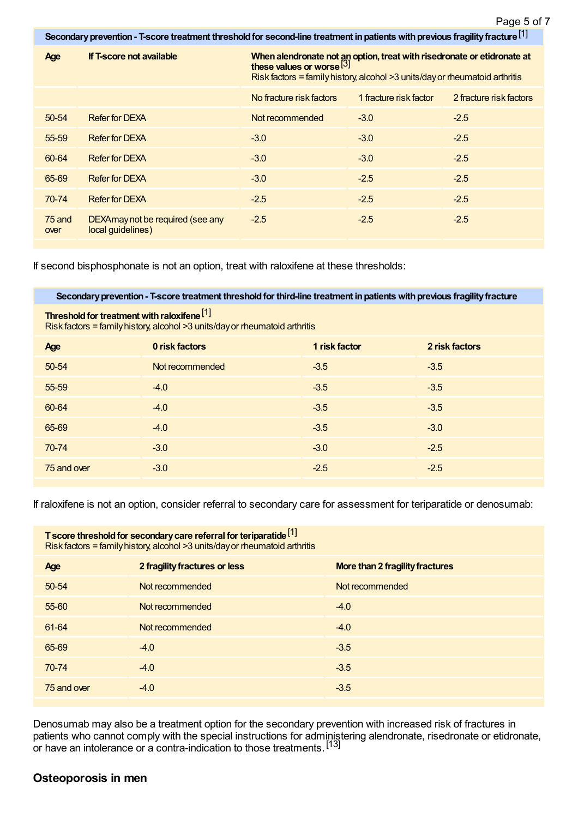Page 5 of 7

| Secondary prevention - T-score treatment threshold for second-line treatment in patients with previous fragility fracture $[1]$ |                                                       |                                                                                                                                                                                                  |                        |                         |
|---------------------------------------------------------------------------------------------------------------------------------|-------------------------------------------------------|--------------------------------------------------------------------------------------------------------------------------------------------------------------------------------------------------|------------------------|-------------------------|
| Age                                                                                                                             | If T-score not available                              | When alendronate not an option, treat with risedronate or etidronate at<br>these values or worse <sup>[3]</sup><br>Risk factors = family history, alcohol $>3$ units/day or rheumatoid arthritis |                        |                         |
|                                                                                                                                 |                                                       | No fracture risk factors                                                                                                                                                                         | 1 fracture risk factor | 2 fracture risk factors |
| $50 - 54$                                                                                                                       | <b>Refer for DEXA</b>                                 | Not recommended                                                                                                                                                                                  | $-3.0$                 | $-2.5$                  |
| 55-59                                                                                                                           | <b>Refer for DEXA</b>                                 | $-3.0$                                                                                                                                                                                           | $-3.0$                 | $-2.5$                  |
| 60-64                                                                                                                           | <b>Refer for DEXA</b>                                 | $-3.0$                                                                                                                                                                                           | $-3.0$                 | $-2.5$                  |
| 65-69                                                                                                                           | <b>Refer for DEXA</b>                                 | $-3.0$                                                                                                                                                                                           | $-2.5$                 | $-2.5$                  |
| 70-74                                                                                                                           | <b>Refer for DEXA</b>                                 | $-2.5$                                                                                                                                                                                           | $-2.5$                 | $-2.5$                  |
| 75 and<br>over                                                                                                                  | DEXAmay not be required (see any<br>local guidelines) | $-2.5$                                                                                                                                                                                           | $-2.5$                 | $-2.5$                  |

If second bisphosphonate is not an option, treat with raloxifene at these thresholds:

**Secondaryprevention- T-score treatment thresholdfor third-line treatment inpatientswithprevious fragilityfracture**

**Threshold for treatment with raloxifene**<sup>[1]</sup>

Risk factors = familyhistory, alcohol >3 units/dayor rheumatoid arthritis

| Age         | 0 risk factors  | 1 risk factor | 2 risk factors |
|-------------|-----------------|---------------|----------------|
| 50-54       | Not recommended | $-3.5$        | $-3.5$         |
| 55-59       | $-4.0$          | $-3.5$        | $-3.5$         |
| 60-64       | $-4.0$          | $-3.5$        | $-3.5$         |
| 65-69       | $-4.0$          | $-3.5$        | $-3.0$         |
| 70-74       | $-3.0$          | $-3.0$        | $-2.5$         |
| 75 and over | $-3.0$          | $-2.5$        | $-2.5$         |

If raloxifene is not an option, consider referral to secondary care for assessment for teriparatide or denosumab:

| T score threshold for secondary care referral for teriparatide [1]<br>Risk factors = family history, alcohol $>3$ units/day or rheumatoid arthritis |                               |                                        |  |
|-----------------------------------------------------------------------------------------------------------------------------------------------------|-------------------------------|----------------------------------------|--|
| Age                                                                                                                                                 | 2 fragility fractures or less | <b>More than 2 fragility fractures</b> |  |
| $50 - 54$                                                                                                                                           | Not recommended               | Not recommended                        |  |
| 55-60                                                                                                                                               | Not recommended               | $-4.0$                                 |  |
| 61-64                                                                                                                                               | Not recommended               | $-4.0$                                 |  |
| 65-69                                                                                                                                               | $-4.0$                        | $-3.5$                                 |  |
| 70-74                                                                                                                                               | $-4.0$                        | $-3.5$                                 |  |
| 75 and over                                                                                                                                         | $-4.0$                        | $-3.5$                                 |  |

Denosumab may also be a treatment option for the secondary prevention with increased risk of fractures in patients who cannot comply with the special instructions for administering alendronate, risedronate or etidronate, or have an intolerance or a contra-indication to those treatments.<sup>[13]</sup>

#### **Osteoporosis in men**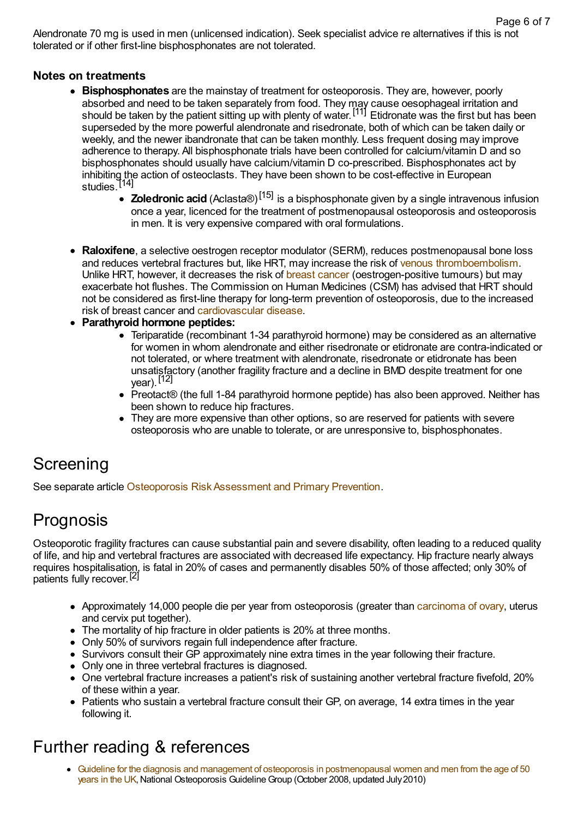Alendronate 70 mg is used in men (unlicensed indication). Seek specialist advice re alternatives if this is not tolerated or if other first-line bisphosphonates are not tolerated.

#### **Notes on treatments**

- **Bisphosphonates** are the mainstay of treatment for osteoporosis. They are, however, poorly absorbed and need to be taken separately from food. They may cause oesophageal irritation and should be taken by the patient sitting up with plenty of water.<sup>[11]</sup> Etidronate was the first but has been superseded by the more powerful alendronate and risedronate, both of which can be taken daily or weekly, and the newer ibandronate that can be taken monthly. Less frequent dosing may improve adherence to therapy. All bisphosphonate trials have been controlled for calcium/vitamin D and so bisphosphonates should usually have calcium/vitamin D co-prescribed. Bisphosphonates act by inhibiting the action of osteoclasts. They have been shown to be cost-effective in European studies.<sup>[14]</sup>
	- **Zoledronic acid** (Aclasta®) [15] is a bisphosphonate given by a single intravenous infusion once a year, licenced for the treatment of postmenopausal osteoporosis and osteoporosis in men. It is very expensive compared with oral formulations.
- **Raloxifene**, a selective oestrogen receptor modulator (SERM), reduces postmenopausal bone loss and reduces vertebral fractures but, like HRT, may increase the risk of venous [thromboembolism.](http://www.patient.co.uk/search.asp?searchterm=VENOUS+THROMBOEMBOLISM&collections=PPsearch) Unlike HRT, however, it decreases the risk of breast [cancer](http://www.patient.co.uk/search.asp?searchterm=BREAST+CANCER&collections=PPsearch) (oestrogen-positive tumours) but may exacerbate hot flushes. The Commission on Human Medicines (CSM) has advised that HRT should not be considered as first-line therapy for long-term prevention of osteoporosis, due to the increased risk of breast cancer and [cardiovascular](http://www.patient.co.uk/search.asp?searchterm=CARDIOVASCULAR+DISEASE&collections=PPsearch) disease.
- **Parathyroid hormone peptides:**
	- Teriparatide (recombinant 1-34 parathyroid hormone) may be considered as an alternative for women in whom alendronate and either risedronate or etidronate are contra-indicated or not tolerated, or where treatment with alendronate, risedronate or etidronate has been unsatisfactory (another fragility fracture and a decline in BMD despite treatment for one year).<sup>[12]</sup>
	- Preotact<sup>®</sup> (the full 1-84 parathyroid hormone peptide) has also been approved. Neither has been shown to reduce hip fractures.
	- They are more expensive than other options, so are reserved for patients with severe osteoporosis who are unable to tolerate, or are unresponsive to, bisphosphonates.

# **Screening**

See separate article Osteoporosis Risk Assessment and Primary Prevention.

# Prognosis

Osteoporotic fragility fractures can cause substantial pain and severe disability, often leading to a reduced quality of life, and hip and vertebral fractures are associated with decreased life expectancy. Hip fracture nearly always requires hospitalisation, is fatal in 20% of cases and permanently disables 50% of those affected; only 30% of patients fully recover.<sup>[2]</sup>

- Approximately 14,000 people die per year from osteoporosis (greater than [carcinoma](http://www.patient.co.uk/search.asp?searchterm=OVARIAN+CANCER&collections=PPsearch) of ovary, uterus and cervix put together).
- The mortality of hip fracture in older patients is 20% at three months.
- Only 50% of survivors regain full independence after fracture.
- Survivors consult their GP approximately nine extra times in the year following their fracture.
- Only one in three vertebral fractures is diagnosed.
- One vertebral fracture increases a patient's risk of sustaining another vertebral fracture fivefold, 20% of these within a year.
- Patients who sustain a vertebral fracture consult their GP, on average, 14 extra times in the year following it.

# Further reading & references

Guideline for the diagnosis and management of osteoporosis in [postmenopausal](http://www.shef.ac.uk/NOGG/NOGG_Pocket_Guide_for_Healthcare_Professionals.pdf) women and men from the age of 50 years in the UK, National Osteoporosis Guideline Group (October 2008, updated July 2010)